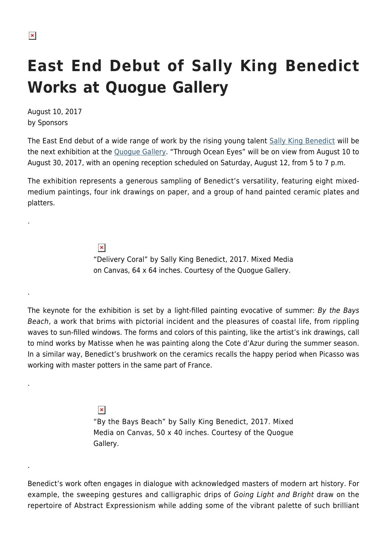.

.

.

.

## **East End Debut of Sally King Benedict Works at Quogue Gallery**

August 10, 2017 by Sponsors

The East End debut of a wide range of work by the rising young talent [Sally King Benedict](http://quoguegallery.com/artists/57278/sally-king-benedict/) will be the next exhibition at the [Quogue Gallery](http://www.quoguegallery.com). "Through Ocean Eyes" will be on view from August 10 to August 30, 2017, with an opening reception scheduled on Saturday, August 12, from 5 to 7 p.m.

The exhibition represents a generous sampling of Benedict's versatility, featuring eight mixedmedium paintings, four ink drawings on paper, and a group of hand painted ceramic plates and platters.

> $\pmb{\times}$ "Delivery Coral" by Sally King Benedict, 2017. Mixed Media on Canvas, 64 x 64 inches. Courtesy of the Quogue Gallery.

The keynote for the exhibition is set by a light-filled painting evocative of summer: By the Bays Beach, a work that brims with pictorial incident and the pleasures of coastal life, from rippling waves to sun-filled windows. The forms and colors of this painting, like the artist's ink drawings, call to mind works by Matisse when he was painting along the Cote d'Azur during the summer season. In a similar way, Benedict's brushwork on the ceramics recalls the happy period when Picasso was working with master potters in the same part of France.

> $\pmb{\times}$ "By the Bays Beach" by Sally King Benedict, 2017. Mixed Media on Canvas, 50 x 40 inches. Courtesy of the Quogue Gallery.

Benedict's work often engages in dialogue with acknowledged masters of modern art history. For example, the sweeping gestures and calligraphic drips of Going Light and Bright draw on the repertoire of Abstract Expressionism while adding some of the vibrant palette of such brilliant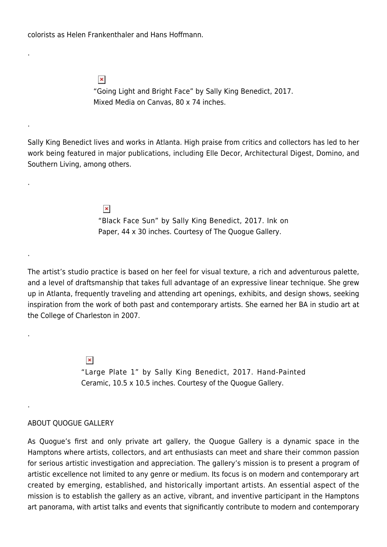colorists as Helen Frankenthaler and Hans Hoffmann.

.

.

.

.

.

.

 $\pmb{\times}$ "Going Light and Bright Face" by Sally King Benedict, 2017. Mixed Media on Canvas, 80 x 74 inches.

Sally King Benedict lives and works in Atlanta. High praise from critics and collectors has led to her work being featured in major publications, including Elle Decor, Architectural Digest, Domino, and Southern Living, among others.

> $\pmb{\times}$ "Black Face Sun" by Sally King Benedict, 2017. Ink on Paper, 44 x 30 inches. Courtesy of The Quogue Gallery.

The artist's studio practice is based on her feel for visual texture, a rich and adventurous palette, and a level of draftsmanship that takes full advantage of an expressive linear technique. She grew up in Atlanta, frequently traveling and attending art openings, exhibits, and design shows, seeking inspiration from the work of both past and contemporary artists. She earned her BA in studio art at the College of Charleston in 2007.

> $\pmb{\times}$ "Large Plate 1" by Sally King Benedict, 2017. Hand-Painted Ceramic, 10.5 x 10.5 inches. Courtesy of the Quogue Gallery.

## ABOUT QUOGUE GALLERY

As Quogue's first and only private art gallery, the Quogue Gallery is a dynamic space in the Hamptons where artists, collectors, and art enthusiasts can meet and share their common passion for serious artistic investigation and appreciation. The gallery's mission is to present a program of artistic excellence not limited to any genre or medium. Its focus is on modern and contemporary art created by emerging, established, and historically important artists. An essential aspect of the mission is to establish the gallery as an active, vibrant, and inventive participant in the Hamptons art panorama, with artist talks and events that significantly contribute to modern and contemporary